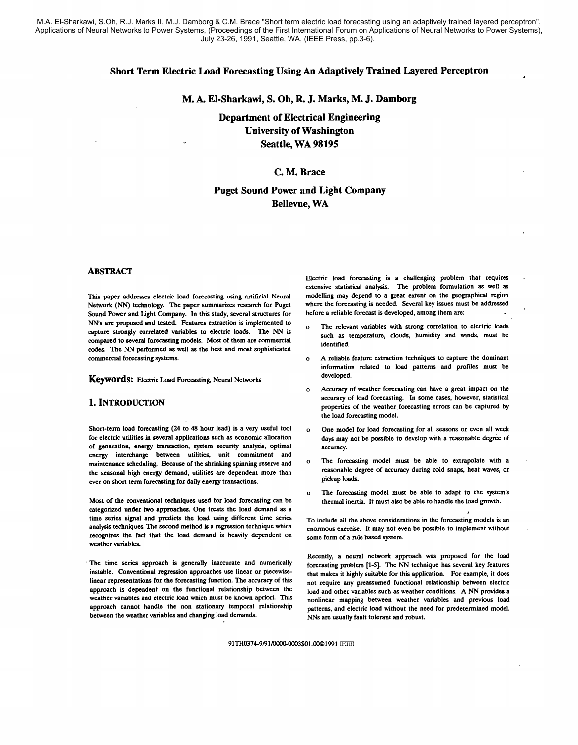M.A. El-Sharkawi, S.Oh, R.J. Marks II, M.J. Damborg & C.M. Brace "Short term electric load forecasting using an adaptively trained layered perceptron", Applications of Neural Networks to Power Systems, (Proceedings of the First International Forum on Applications of Neural Networks to Power Systems), July 23-26, 1991, Seattle, WA, (IEEE Press, pp.3-6).

# **Short Term Electric Load Forecasting Using An Adaptively Trained Layered Perceptron**

## **M. A. El-Sharkawi, S. Oh, R J. Marks, M. J. Damborg**

**Department of Electrical Engineering University of Washington Seattle, WA 98195** 

## **C. M. Brace**

# **Puget Sound Power and Light Company Bellevue, WA**

## **ABSTRACT**

This paper addresses electric load forecasting using artificial Neural Network (NN) technology. The paper summarizes research for Puget Sound Power and Light Company. In this study, several structures for NN's are proposed and tested. Features extraction is implemented to capture strongly correlated variables to electric loads. The NN is compared to several forecasting models. Most of them are commercial codes. The NN performed as well as the best and most sophisticated commercial forecasting systems.

#### **Keywords:** Electric Load Forecasting, Neural Networks

### **1. INTRODUCTION**

Short-term load forecasting (24 to 48 hour lead) is a very useful tool for electric utilities in several applications such as economic allocation of generation, energy transaction, system security analysis, optimal energy interchange between utilities, unit commitment and maintenance scheduling. Because of the shrinking spinning reserve and the seasonal high energy demand, utilities are dependent more than ever on short term forecasting for daily energy transactions.

Most of the conventional techniques used for load forecasting can be categorized under two approaches. One treats the load demand as a time series signal and predicts the load using different time series analysis techniques. The second method is a regression technique which recognizes the fact that the load demand is heavily dependent on weather variables.

The time series approach is generally inaccurate and numerically instable. Conventional regression approaches use linear or piecewiselinear representations for the forecasting function. The accuracy of this approach is dependent on the functional relationship between the weather variables and electric load which must be **known** apriori. This approach cannot handle the non stationary temporal relationship between the weather variables and changing load demands.

Electric load forecasting is a challenging problem that requires extensive statistical analysis. The problem formulation as well as modelling may depend to a great extent on the geographical region where the forecasting is needed. Several key issues must be addressed before a reliable forecast is developed, among them are:

- o The relevant variables with strong correlation to electric loads such as temperature, clouds, humidity and winds, must be identified.
- o A reliable feature extraction techniques to capture the dominant information related to load patterns and profiles must be developed.
- Accuracy of weather forecasting can have a great impact on the accuracy of load forecasting. In some cases, however, statistical properties of the weather forecasting errors can be captured by the load forecasting model.
- One model for load forecasting for all seasons or even all week days may not be possible to develop with a reasonable degree of accuracy.
- o The forecasting model must be able to extrapolate with a reasonable degree of accuracy during cold snaps, heat waves, or pickup loads.
- o The forecasting model must be able to adapt to the system's thermal inertia. It must also be able to handle the load growth.

**i** 

To include all the above considerations in the forecasting models is an enormous exercise. It may not even be possible to implement without some form of a rule based system.

Recently, a neural network approach **was** proposed for the load forecasting problem **[l-51.** The NN technique has several key features that makes it highly suitable for this application. For example, it does not require any preassumed functional relationship between electric load and other variables such as weather conditions. **A NN** provides a nonlinear mapping between weather variables and previous load patterns, and electric load without the need for predetermined model. NNs are usually fault tolerant and robust.

91TH0374-9/91/0000-0003\$01.00@1991 IEEE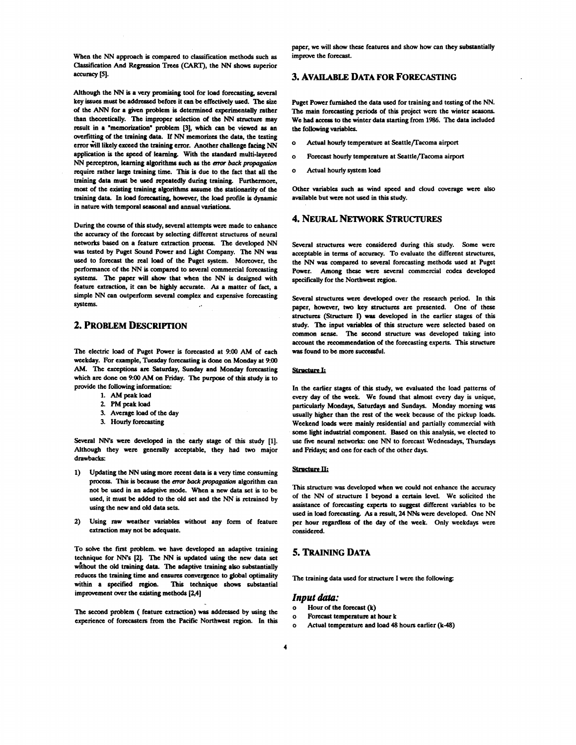When the NN approach is compared to classification methods such as Classification And Regression **Tnes** (CART), the NN shows superior accuracy [5].

Although the NN is a **very** promising tool for load forecasting, several key issues must **be** addressed before it can be effectively **used.** The **size**  of the ANN for a given problem is determined experimentally rather than theoretically. The improper selection **of** the NN **structure** may result in a "memorization" problem [3], which can be viewed as an overfitting of the training data. If NN memorizes the data, the testing error will likely exceed the training error. Another challenge facing NN application is the speed of learning. With the standard multi-layered NN perceptron, learning algorithms such as the *error back propagation* require rather large training time. This is due to the fact that all the training data must be **used** repeatedly during training. Furthermore, most of the existing training algorithms assume the stationarity of the training data. In load forecasting, however, the load profile is dynamic in nature with temporal seasonal and annual variations.

During the course of this study, several attempts **were** made to enhance the accuracy of the forecast by selecting different structures of neural networks based on a feature extraction process. The developed NN was tested by Puget Sound Power and Light Company. The NN was used to forecast the real load of the Puget system. Moreover, the perfomancc of the NN is compared to several commercial forecasting systems. The paper will show that when the NN is designed with feature extraction, it can **be** highly accurate. **As** a matter of fact, a simple NN can outperfom several complex and expensive forecasting systems.

## **2. PROBLEM DESCRIPTION**

The electric load of Puget Power is forecasted at **9:00** AM of each weekday. For example, Tuesday forecasting is done on Monday at **%00**  AM. The exceptions are Saturday, Sunday and Monday forecasting which are done on 9:00 AM on Friday. The purpose of this study is to provide the following infomation:

- 1. AM peak load
- 2. PM peak load
- 3. Averagc load of the day
- 3. Hourly forecasting

Several NN's were developed in the early stage of this study [1]. Although they were generally acceptable, they had two major drawbacks:

- 1) Updating the NN using more recent data is a very time consuming process. This is because the error back propagation algorithm can not **be used** in an adaptive mode. When a **new** data set is to be **used,** it must **be** added to the old set and the NN is retrained by using the new and old data sets.
- 2) Using raw weather variables without any form of feature extraction may not **be** adequate.

To solve the first problem. we have developed an adaptive training technique for NN's [2]. The NN is updated using the new data set without the old training data. The adaptive training also substantially reduces the training time and ensures convergence to global optimality within a specified region. This technique shows substantial improvement over the existing methods [2,4]

The second problem ( feature extraction) was addressed by using the experience of forecasters from the Pacific Northwest region. In this paper, we will show these features and show how can they substantially improve the forecast.

## **3. AVAILABLE DATA FOR FORECASTING**

Pupt Power furnished the data used for training and testing of the NN. The main forecasting periods of this project were the winter **seasons.**  We had access to the winter data starting from 1986. The data included the following variables.

- o Actual hourly temperature at Seattle/Tacoma airport
- Forecast hourly temperature at Seattle/Tacoma airport
- o Actual hourly system load

Other variables such as wind speed and cloud coverage were also available but **were** not used in this study.

## **4. NEURAL NETWORK STRUCTURES**

Several structures were considered during this study. Some were acceptable in terms of accuracy. To evaluate the different structures, the NN was compared to several forecasting methods used at Puget Power. Among these were several commercial codes developed specifically for the Northwest region.

Several structures were developed over the research period. In this paper, however, two key structures are presented. One of these structures (Structure I) was developed in the earlier stages of this study. The input variables of this structure were selected based on common sense. The second structure was developed taking into account the recommendation of the forecasting experts. This structure **was** found to **be** more successful.

#### **Structure I:**

In the earlier stages of this study, we evaluated the load patterns of every day of the **wcek.** We found that almost every day is unique, particulariy Mondays, Saturdays and Sundays. Monday morning was usually higher than the rest of the week because of the pickup loads. Weekend loads were mainly residential and partially commercial with some light industrial component. Based on this analysis, we elected to use five neural networks: one NN to forecast Wednesdays, Thursdays and Fridays; and one for each of the other days.

#### Structure II:

This structure was developed when we could not enhance the accuracy of the NN of structure I beyond a certain level. We solicited the assistance of forecasting experts to suggest different variables to be used in load forecasting. **As** a result, 24 NNs were developed. One **NN**  per hour regardless of the day of the week. Only weekdays were considered.

## **5. TRAINING DATA**

The training data used for structure I were the following:

#### *Input* **data:**

- o Hour of the forecast (k)
- o Forecast temperature at hour k
- o Actual temperature and load 48 hours earlier (k-48)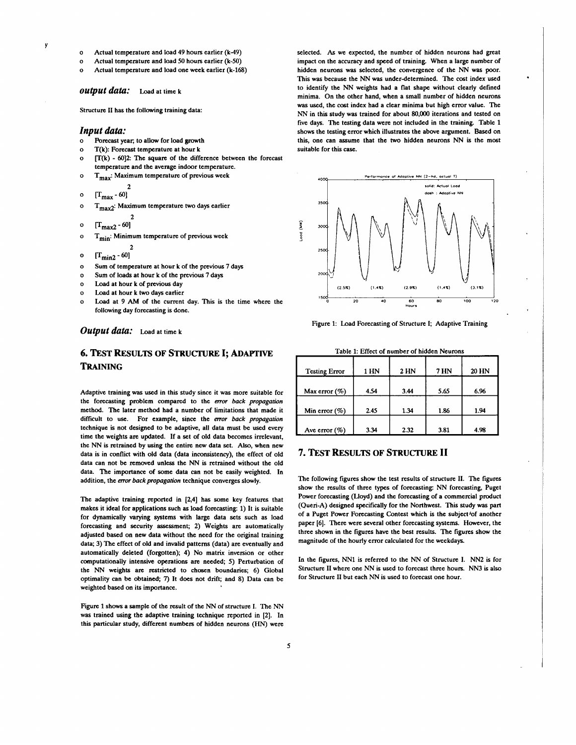- Actual temperature and load 49 hours earlier  $(k-49)$
- o Actual temperature and load 50 hours earlier (k-SO)
- o Actual temperature and load one week earlier (k-168)

*output data:* Load at time k

Structure I1 has the following training data:

#### *Input data:*

v

- o Porecast year; to allow for load growth<br>o T(k): Forecast temperature at hour  $k$
- $T(k)$ : Forecast temperature at hour  $k$
- o  $[T(k) 60]2$ : The square of the difference between the forecast temperature and the average indoor temperature.
- $\sigma$  T<sub>max</sub>: Maximum temperature of previous week
- 2
- $0$  [T<sub>max</sub> 60]
- $\sigma$  T<sub>max2</sub>: Maximum temperature two days earlier
- 2  $0$   $[T_{max2} - 60]$
- $o$   $T_{\text{min}}$ : Minimum temperature of previous week
- 2
- $0$   $[T_{min2} 60]$
- o Sum of temperature at hour k of the previous 7 days
- o Sum of loads at hour k of the previous 7 days
- o Load at hour k of previous day
- o Load at hour k two days earlier
- o Load at 9 AM of the current day. This is the time where the following day forecasting is done.

## *Output data:* Load at time k

# **6. TEST RESULTS OF STRUCTURE I: ADAPTIVE** Table 1: Effect of number of hidden Neurons **TRAINING**

Adaptive training was used in this study since it was more suitable for the forecasting problem compared to the error back propagation method. The later method had a number of limitations that made it difficult to use. For example, since the error back propagation technique is not designed to be adaptive, all data must be used every time the weights are updated. If a set of old data becomes irrelevant, the NN is retrained by using the entire new data set. Also, when new data is in conflict with old data (data inconsistency), the effect of old **7. TEST RESULTS OF STRUCTURE 11**  data can not be removed unless the **NN** is retrained without the old data. The importance of some data can not be easily weighted. In addition, the error back propagation technique converges slowly. The following figures show the test results of structure II. The figures

makes it ideal for applications such as load forecasting: 1) It is suitable (Queri-A) designed specifically for the Northwest. This sudy was part<br>for dynamically varying systems with large data sets such as load of a Puget for dynamically varying systems with large data sets such as load of a Puget Power Forecasting Contest which is the subject of another<br>forecasting and security assessment: 2) Weights are automotically paper [6]. There were forecasting and security assessment; 2) Weights are automatically Execution and the second on new data without the need for the original training three shown in the figures have the best results. The figures show the adjusted based on new data without the need for the original training data; 3) The effect of old and invalid patterns (data) are eventually and automatically deleted (forgotten); 4) No matrix inversion or other computationally intensive operations are needed; 5) Perturbation of In the figures, NN1 is referred to the NN of Structure I. NN2 is for<br>the NN weights are restricted to chosen boundaries: 6) Global Structure II where one the NN weights are restricted to chosen boundaries; 6) Global Structure II where one NN is used to forecast three hours.<br>
optimality can be obtained: 7) It does not drift: and 8) Data can be for Structure II but each NN is optimality can be obtained; 7) It does not drift; and 8) Data can be weighted based on its importance.

Figure 1 shows a sample of the result of the NN of structure I. The NN was trained using the adaptive training technique reported in [2]. In this particular study, different numbers of hidden neurons (HN) were

selected. **As** we expected, the number of hidden neurons had great impact on the accuracy and speed of training. When a large number of hidden neurons was selected, the convergence of the NN was poor. This was because the NN was under-determined. The cost index used to identify the NN weights had a flat shape without clearly defined minima. On the other hand, when a small number of hidden neurons was used, the cost index had a clear minima but high error value. The NN in this study was trained for about 80,000 iterations and tested on five days. The testing data were not included in the training. Table 1 shows the testing error which illustrates the above argument. Based on this, one can assume that the two hidden neurons NN is the most suitable for this case.



Figure 1: Load Forecasting of Structure I; Adaptive Training

| <b>Testing Error</b> | 1 HN | 2 HN | <b>7 HN</b> | <b>20 HN</b> |
|----------------------|------|------|-------------|--------------|
| Max error $(\%)$     | 4.54 | 3.44 | 5.65        | 6.96         |
| Min error $(\%)$     | 2.45 | 1.34 | 1.86        | 1.94         |
| Ave error $(\%)$     | 3.34 | 2.32 | 3.81        | 4.98         |

show the results of three types of forecasting: NN forecasting, Puget The adaptive training reported in [2,4] has some key features that Power forecasting (Lloyd) and the forecasting of a commercial product<br>makes it ideal for continuities and a lood forecasting 1) It is suitable. (Queri-A) d